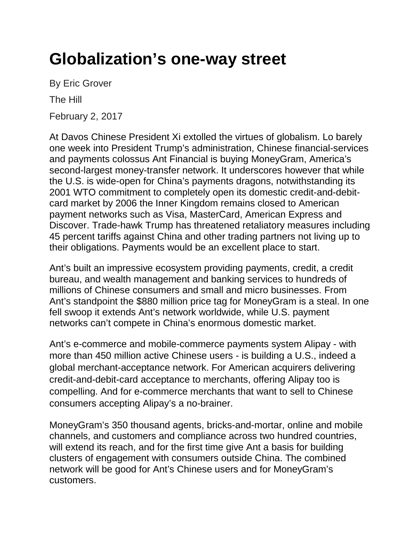## **Globalization's one-way street**

By Eric Grover The Hill

February 2, 2017

At Davos Chinese President Xi extolled the virtues of globalism. Lo barely one week into President Trump's administration, Chinese financial-services and payments colossus Ant Financial is buying MoneyGram, America's second-largest money-transfer network. It underscores however that while the U.S. is wide-open for China's payments dragons, notwithstanding its 2001 WTO commitment to completely open its domestic credit-and-debitcard market by 2006 the Inner Kingdom remains closed to American payment networks such as Visa, MasterCard, American Express and Discover. Trade-hawk Trump has threatened retaliatory measures including 45 percent tariffs against China and other trading partners not living up to their obligations. Payments would be an excellent place to start.

Ant's built an impressive ecosystem providing payments, credit, a credit bureau, and wealth management and banking services to hundreds of millions of Chinese consumers and small and micro businesses. From Ant's standpoint the \$880 million price tag for MoneyGram is a steal. In one fell swoop it extends Ant's network worldwide, while U.S. payment networks can't compete in China's enormous domestic market.

Ant's e-commerce and mobile-commerce payments system Alipay - with more than 450 million active Chinese users - is building a U.S., indeed a global merchant-acceptance network. For American acquirers delivering credit-and-debit-card acceptance to merchants, offering Alipay too is compelling. And for e-commerce merchants that want to sell to Chinese consumers accepting Alipay's a no-brainer.

MoneyGram's 350 thousand agents, bricks-and-mortar, online and mobile channels, and customers and compliance across two hundred countries, will extend its reach, and for the first time give Ant a basis for building clusters of engagement with consumers outside China. The combined network will be good for Ant's Chinese users and for MoneyGram's customers.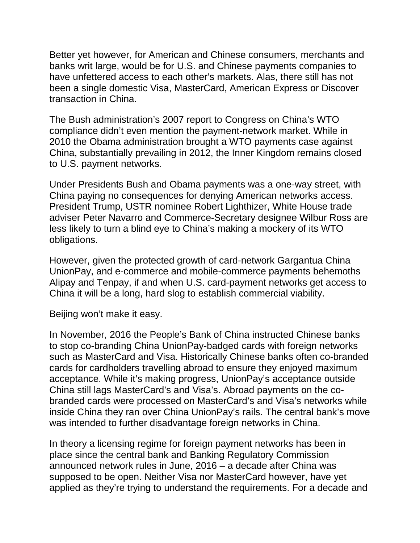Better yet however, for American and Chinese consumers, merchants and banks writ large, would be for U.S. and Chinese payments companies to have unfettered access to each other's markets. Alas, there still has not been a single domestic Visa, MasterCard, American Express or Discover transaction in China.

The Bush administration's 2007 report to Congress on China's WTO compliance didn't even mention the payment-network market. While in 2010 the Obama administration brought a WTO payments case against China, substantially prevailing in 2012, the Inner Kingdom remains closed to U.S. payment networks.

Under Presidents Bush and Obama payments was a one-way street, with China paying no consequences for denying American networks access. President Trump, USTR nominee Robert Lighthizer, White House trade adviser Peter Navarro and Commerce-Secretary designee Wilbur Ross are less likely to turn a blind eye to China's making a mockery of its WTO obligations.

However, given the protected growth of card-network Gargantua China UnionPay, and e-commerce and mobile-commerce payments behemoths Alipay and Tenpay, if and when U.S. card-payment networks get access to China it will be a long, hard slog to establish commercial viability.

Beijing won't make it easy.

In November, 2016 the People's Bank of China instructed Chinese banks to stop co-branding China UnionPay-badged cards with foreign networks such as MasterCard and Visa. Historically Chinese banks often co-branded cards for cardholders travelling abroad to ensure they enjoyed maximum acceptance. While it's making progress, UnionPay's acceptance outside China still lags MasterCard's and Visa's. Abroad payments on the cobranded cards were processed on MasterCard's and Visa's networks while inside China they ran over China UnionPay's rails. The central bank's move was intended to further disadvantage foreign networks in China.

In theory a licensing regime for foreign payment networks has been in place since the central bank and Banking Regulatory Commission announced network rules in June, 2016 – a decade after China was supposed to be open. Neither Visa nor MasterCard however, have yet applied as they're trying to understand the requirements. For a decade and